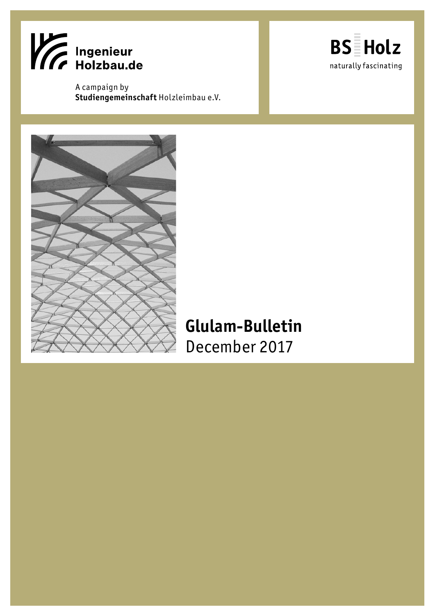

A campaign by **Studiengemeinschaft** Holzleimbau e.V.





# **Glulam-Bulletin** December 2017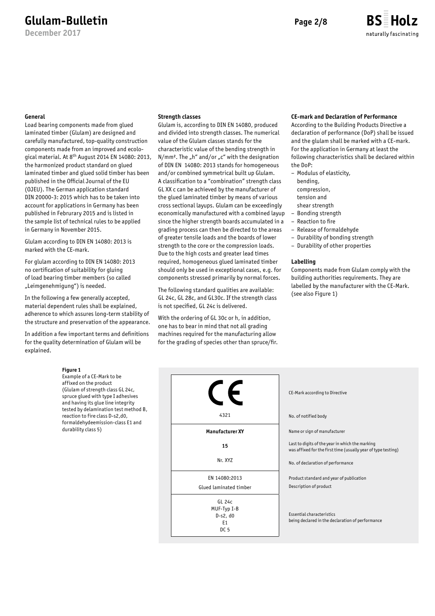**December 2017**



#### **General**

Load bearing components made from glued laminated timber (Glulam) are designed and carefully manufactured, top-quality construction components made from an improved and ecological material. At 8th August 2014 EN 14080: 2013, the harmonized product standard on glued laminated timber and glued solid timber has been published in the Official Journal of the EU (OJEU). The German application standard DIN 20000-3: 2015 which has to be taken into account for applications in Germany has been published in Februrary 2015 and is listed in the sample list of technical rules to be applied in Germany in November 2015.

Glulam according to DIN EN 14080: 2013 is marked with the CE-mark.

For glulam according to DIN EN 14080: 2013 no certification of suitability for gluing of load bearing timber members (so called "Leimgenehmigung") is needed.

In the following a few generally accepted, material dependent rules shall be explained, adherence to which assures long-term stability of the structure and preservation of the appearance.

In addition a few important terms and definitions for the quality determination of Glulam will be explained.

#### **Figure 1**

Example of a CE-Mark to be affixed on the product (Glulam of strength class GL 24c, spruce glued with type I adhesives and having its glue line integrity tested by delamination test method B, reaction to fire class D-s2,d0, formaldehydeemission-class E1 and durability class 5)

#### **Strength classes**

Glulam is, according to DIN EN 14080, produced and divided into strength classes. The numerical value of the Glulam classes stands for the characteristic value of the bending strength in  $N/mm<sup>2</sup>$ . The "h" and/or "c" with the designation of DIN EN 14080: 2013 stands for homogeneous and/or combined symmetrical built up Glulam. A classification to a "combination" strength class GL XX c can be achieved by the manufacturer of the glued laminated timber by means of various cross sectional layups. Glulam can be exceedingly economically manufactured with a combined layup since the higher strength boards accumulated in a grading process can then be directed to the areas of greater tensile loads and the boards of lower strength to the core or the compression loads. Due to the high costs and greater lead times required, homogeneous glued laminated timber should only be used in exceptional cases, e.g. for components stressed primarily by normal forces.

The following standard qualities are available: GL 24c, GL 28c, and GL30c. If the strength class is not specified, GL 24c is delivered.

With the ordering of GL 30c or h, in addition, one has to bear in mind that not all grading machines required for the manufacturing allow for the grading of species other than spruce/fir.

### **CE-mark and Declaration of Performance**

According to the Building Products Directive a declaration of performance (DoP) shall be issued and the glulam shall be marked with a CE-mark. For the application in Germany at least the following characteristics shall be declared within the DoP:

- Modulus of elasticity,
- bending,
- compression,
- tension and
- shear strength
- Bonding strength
- Reaction to fire
- Release of formaldehyde
- Durability of bonding strength
- Durability of other properties

#### **Labelling**

Components made from Glulam comply with the building authorities requirements. They are labelled by the manufacturer with the CE-Mark. (see also Figure 1)

| CE-Mark according to Directive                                                                                   |
|------------------------------------------------------------------------------------------------------------------|
| No. of notified body                                                                                             |
| Name or sign of manufacturer                                                                                     |
| Last to digits of the year in which the marking<br>was affixed for the first time (usually year of type testing) |
| No. of declaration of performance                                                                                |
| Product standard and year of publication<br>Description of product                                               |
| Essential characteristics<br>being declared in the declaration of performance                                    |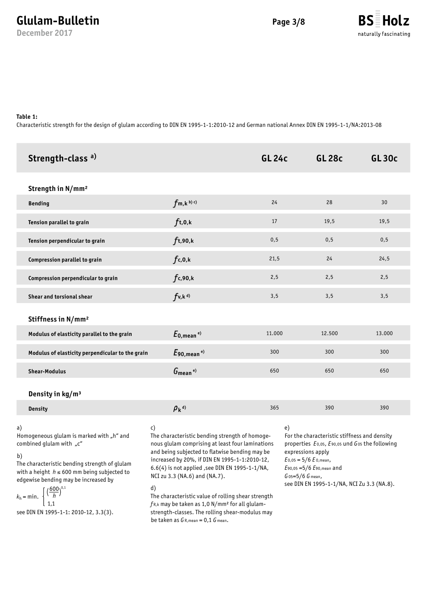**December 2017**



### **Table 1:**

 $k_h$  = min.

1,1

see DIN EN 1995-1-1: 2010-12, 3.3(3).

Characteristic strength for the design of glulam according to DIN EN 1995-1-1:2010-12 and German national Annex DIN EN 1995-1-1/NA:2013-08

| Strength-class <sup>a)</sup>                                                                                                                                                                                                                                                       |                                                                                                                                                                                                                                                                                                                                                             | <b>GL 24c</b> | <b>GL 28c</b>                                                                                                                                                                                                                                          | <b>GL30c</b> |
|------------------------------------------------------------------------------------------------------------------------------------------------------------------------------------------------------------------------------------------------------------------------------------|-------------------------------------------------------------------------------------------------------------------------------------------------------------------------------------------------------------------------------------------------------------------------------------------------------------------------------------------------------------|---------------|--------------------------------------------------------------------------------------------------------------------------------------------------------------------------------------------------------------------------------------------------------|--------------|
| Strength in N/mm <sup>2</sup>                                                                                                                                                                                                                                                      |                                                                                                                                                                                                                                                                                                                                                             |               |                                                                                                                                                                                                                                                        |              |
| <b>Bending</b>                                                                                                                                                                                                                                                                     | $f_{m,k}$ <sub>b)</sub> c)                                                                                                                                                                                                                                                                                                                                  | 24            | 28                                                                                                                                                                                                                                                     | 30           |
| Tension parallel to grain                                                                                                                                                                                                                                                          | $f_{t,0,k}$                                                                                                                                                                                                                                                                                                                                                 | 17            | 19,5                                                                                                                                                                                                                                                   | 19,5         |
| Tension perpendicular to grain                                                                                                                                                                                                                                                     | $f_{t,90,k}$                                                                                                                                                                                                                                                                                                                                                | 0,5           | 0,5                                                                                                                                                                                                                                                    | 0,5          |
| Compression parallel to grain                                                                                                                                                                                                                                                      | $f_{c,0,k}$                                                                                                                                                                                                                                                                                                                                                 | 21,5          | 24                                                                                                                                                                                                                                                     | 24,5         |
| Compression perpendicular to grain                                                                                                                                                                                                                                                 | f <sub>c,90,k</sub>                                                                                                                                                                                                                                                                                                                                         | 2,5           | 2,5                                                                                                                                                                                                                                                    | 2,5          |
| Shear and torsional shear                                                                                                                                                                                                                                                          | $f_{v,k}$ <sup>d)</sup>                                                                                                                                                                                                                                                                                                                                     | 3,5           | 3,5                                                                                                                                                                                                                                                    | 3,5          |
| Stiffness in N/mm <sup>2</sup>                                                                                                                                                                                                                                                     |                                                                                                                                                                                                                                                                                                                                                             |               |                                                                                                                                                                                                                                                        |              |
| Modulus of elasticity parallel to the grain                                                                                                                                                                                                                                        | $E_{0,\text{mean}}$ <sup>e)</sup>                                                                                                                                                                                                                                                                                                                           | 11.000        | 12.500                                                                                                                                                                                                                                                 | 13.000       |
| Modulus of elasticity perpendicular to the grain                                                                                                                                                                                                                                   | $E_{90, \text{mean}}$ <sup>e)</sup>                                                                                                                                                                                                                                                                                                                         | 300           | 300                                                                                                                                                                                                                                                    | 300          |
| <b>Shear-Modulus</b>                                                                                                                                                                                                                                                               | $G_{\text{mean}}$ <sup>e)</sup>                                                                                                                                                                                                                                                                                                                             | 650           | 650                                                                                                                                                                                                                                                    | 650          |
| Density in kg/m <sup>3</sup>                                                                                                                                                                                                                                                       |                                                                                                                                                                                                                                                                                                                                                             |               |                                                                                                                                                                                                                                                        |              |
| <b>Density</b>                                                                                                                                                                                                                                                                     | $\rho_k$ <sup>d)</sup>                                                                                                                                                                                                                                                                                                                                      | 365           | 390                                                                                                                                                                                                                                                    | 390          |
| a)<br>Homogeneous glulam is marked with "h" and<br>combined glulam with "c"<br>b)<br>The characteristic bending strength of glulam<br>with a height $h \le 600$ mm being subjected to<br>edgewise bending may be increased by<br>$\left(\frac{600}{h}\right)^{0,1}$<br>$kb$ = min. | c)<br>The characteristic bending strength of homoge-<br>nous glulam comprising at least four laminations<br>and being subjected to flatwise bending may be<br>increased by 20%, if DIN EN 1995-1-1:2010-12,<br>6.6(4) is not applied , see DIN EN 1995-1-1/NA,<br>NCI zu 3.3 (NA.6) and (NA.7).<br>d)<br>The characteristic value of rolling shear strength | e)            | For the characteristic stiffness and density<br>properties E0,05, E90,05 und G05 the following<br>expressions apply<br>$E_{0,05} = 5/6 E_{0,mean}$<br>E90,05 = 5/6 E90, mean and<br>$G$ 05=5/6 $G$ mean,<br>see DIN EN 1995-1-1/NA, NCI Zu 3.3 (NA.8). |              |

The characteristic value of rolling shear strength *f* R,k may be taken as 1,0 N/mm² for all glulamstrength-classes. The rolling shear-modulus may be taken as *G* R,mean = 0,1 *G* mean.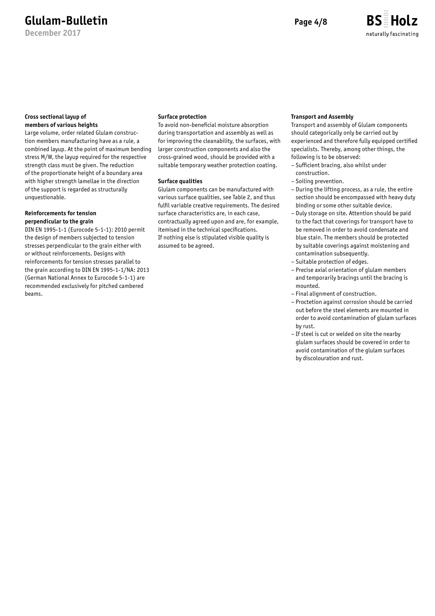**December 2017**



### **Cross sectional layup of members of various heights**

Large volume, order related Glulam construction members manufacturing have as a rule, a combined layup. At the point of maximum bending stress M/W, the layup required for the respective strength class must be given. The reduction of the proportionate height of a boundary area with higher strength lamellae in the direction of the support is regarded as structurally unquestionable.

### **Reinforcements for tension perpendicular to the grain**

DIN EN 1995-1-1 (Eurocode 5-1-1): 2010 permit the design of members subjected to tension stresses perpendicular to the grain either with or without reinforcements. Designs with reinforcements for tension stresses parallel to the grain according to DIN EN 1995-1-1/NA: 2013 (German National Annex to Eurocode 5-1-1) are recommended exclusively for pitched cambered beams.

### **Surface protection**

To avoid non-beneficial moisture absorption during transportation and assembly as well as for improving the cleanability, the surfaces, with larger construction components and also the cross-grained wood, should be provided with a suitable temporary weather protection coating.

### **Surface qualities**

Glulam components can be manufactured with various surface qualities, see Table 2, and thus fulfil variable creative requirements. The desired surface characteristics are, in each case, contractually agreed upon and are, for example, itemised in the technical specifications. If nothing else is stipulated visible quality is assumed to be agreed.

### **Transport and Assembly**

Transport and assembly of Glulam components should categorically only be carried out by experienced and therefore fully equipped certified specialists. Thereby, among other things, the following is to be observed:

- Sufficient bracing, also whilst under construction.
- Soiling prevention.
- During the lifting process, as a rule, the entire section should be encompassed with heavy duty binding or some other suitable device.
- Duly storage on site. Attention should be paid to the fact that coverings for transport have to be removed in order to avoid condensate and blue stain. The members should be protected by suitable coverings against moistening and contamination subsequently.
- Suitable protection of edges.
- Precise axial orientation of glulam members and temporarily bracings until the bracing is mounted.
- Final alignment of construction.
- Proctetion against corrosion should be carried out before the steel elements are mounted in order to avoid contamination of glulam surfaces by rust.
- If steel is cut or welded on site the nearby glulam surfaces should be covered in order to avoid contamination of the glulam surfaces by discolouration and rust.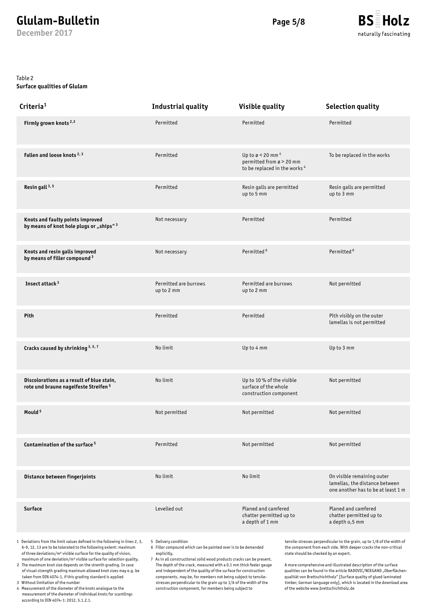**December 2017**



Table 2

### **Surface qualities of Glulam**

| Criteria <sup>1</sup>                                                                         | <b>Industrial quality</b>           | <b>Visible quality</b>                                                                                                       | <b>Selection quality</b>                                                                           |  |
|-----------------------------------------------------------------------------------------------|-------------------------------------|------------------------------------------------------------------------------------------------------------------------------|----------------------------------------------------------------------------------------------------|--|
| Firmly grown knots <sup>2,3</sup>                                                             | Permitted                           | Permitted                                                                                                                    | Permitted                                                                                          |  |
| Fallen and loose knots <sup>2,3</sup>                                                         | Permitted                           | Up to $\varnothing$ < 20 mm <sup>4</sup><br>permitted from $\varnothing$ > 20 mm<br>to be replaced in the works <sup>4</sup> | To be replaced in the works                                                                        |  |
| Resin gall <sup>3, 5</sup>                                                                    | Permitted                           | Resin galls are permitted<br>up to 5 mm                                                                                      | Resin galls are permitted<br>up to 3 mm                                                            |  |
| Knots and faulty points improved<br>by means of knot hole plugs or "ships" <sup>3</sup>       | Not necessary                       | Permitted                                                                                                                    | Permitted                                                                                          |  |
| Knots and resin galls improved<br>by means of filler compound <sup>3</sup>                    | Not necessary                       | Permitted <sup>6</sup>                                                                                                       | Permitted <sup>6</sup>                                                                             |  |
| Insect attack <sup>3</sup>                                                                    | Permitted are burrows<br>up to 2 mm | Permitted are burrows<br>up to 2 mm                                                                                          | Not permitted                                                                                      |  |
| Pith                                                                                          | Permitted                           | Permitted                                                                                                                    | Pith visibly on the outer<br>lamellas is not permitted                                             |  |
| Cracks caused by shrinking 3, 5, 7                                                            | No limit                            | Up to 4 mm                                                                                                                   | Up to 3 mm                                                                                         |  |
| Discolorations as a result of blue stain,<br>rote und braune nagelfeste Streifen <sup>5</sup> | No limit                            | Up to 10 % of the visible<br>surface of the whole<br>construction component                                                  | Not permitted                                                                                      |  |
| Mould <sup>5</sup>                                                                            | Not permitted                       | Not permitted                                                                                                                | Not permitted                                                                                      |  |
| Contamination of the surface <sup>5</sup>                                                     | Permitted                           | Not permitted                                                                                                                | Not permitted                                                                                      |  |
| Distance between fingerjoints                                                                 | No limit                            | No limit                                                                                                                     | On visible remaining outer<br>lamellas, the distance between<br>one another has to be at least 1 m |  |
| <b>Surface</b>                                                                                | Levelled out                        | Planed and camfered<br>chatter permitted up to<br>a depth of 1 mm                                                            | Planed and camfered<br>chatter permitted up to<br>a depth o,5 mm                                   |  |

1 Deviations from the limit values defined in the following in lines 2, 3, 6-9, 12, 13 are to be tolerated to the following extent: maximum of three deviations/m² visible surface for the quality of vision, maximum of one deviation/m² visible surface for selection quality.

2 The maximum knot size depends on the strenth grading. In case of visual strength grading maximum allowed knot sizes may e.g. be taken from DIN 4074-1, if this grading standard is applied

3 Without limitation of the number

4 Measurement of the diameter of the knots analogue to the measurement of the diameter of individual knots for scantlings according to DIN 4074-1: 2012, 5.1.2.1.

5 Delivery condition

6 Filler compound which can be painted over is to be demanded explicitly.

7 As in all constructional solid wood products cracks can be present. The depth of the crack, measured with a 0.1 mm thick feeler gauge and independent of the quality of the surface for construction components, may be, for members not being subject to tensilestresses perpendicular to the grain up to 1/6 of the width of the construction component, for members being subject to

tensile-stresses perpendicular to the grain, up to 1/8 of the width of the component from each side. With deeper cracks the non-critical state should be checked by an expert.

A more comprehensive and illustrated description of the surface qualities can be found in the article RADOVIC/WIEGAND "Oberflächenqualität von Brettschichtholz" [Surface quality of glued laminated timber, German language only], which is located in the download area of the website www.brettschichtholz.de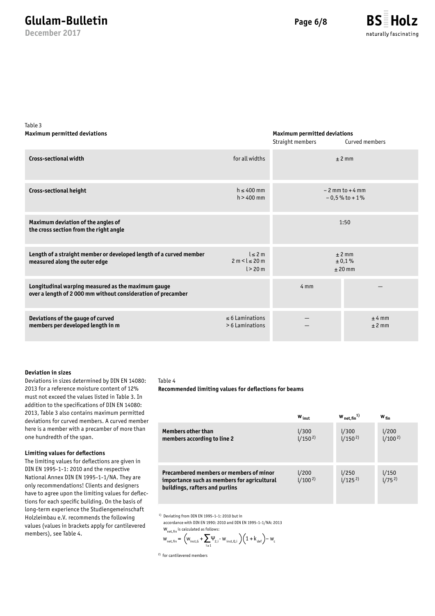**December 2017**



Table 3 **Maximum permitted deviations**

### **Maximum permitted deviations**

|                                                                                                                   |                                            | Straight members | Curved members                         |
|-------------------------------------------------------------------------------------------------------------------|--------------------------------------------|------------------|----------------------------------------|
| <b>Cross-sectional width</b>                                                                                      | for all widths                             |                  | $±$ 2 mm                               |
| Cross-sectional height                                                                                            | $h \leq 400$ mm<br>$h > 400$ mm            |                  | $-2$ mm to $+4$ mm<br>$-0.5%$ to $+1%$ |
| Maximum deviation of the angles of<br>the cross section from the right angle                                      |                                            |                  | 1:50                                   |
| Length of a straight member or developed length of a curved member<br>measured along the outer edge               | l < 2m<br>$2 m < l \le 20 m$<br>$l > 20$ m |                  | $±$ 2 mm<br>± 0,1%<br>$±$ 20 mm        |
| Longitudinal warping measured as the maximum gauge<br>over a length of 2000 mm without consideration of precamber |                                            | $4 \, \text{mm}$ |                                        |
| Deviations of the gauge of curved<br>members per developed length in m                                            | $\leq$ 6 Laminations<br>> 6 Laminations    |                  | $±4$ mm<br>$±$ 2 mm                    |

### **Deviation in sizes**

Deviations in sizes determined by DIN EN 14080: 2013 for a reference moisture content of 12% must not exceed the values listed in Table 3. In addition to the specifications of DIN EN 14080: 2013, Table 3 also contains maximum permitted deviations for curved members. A curved member here is a member with a precamber of more than one hundredth of the span.

### **Limiting values for deflections**

The limiting values for deflections are given in DIN EN 1995-1-1: 2010 and the respective National Annex DIN EN 1995-1-1/NA. They are only recommendations! Clients and designers have to agree upon the limiting values for deflections for each specific building. On the basis of long-term experience the Studiengemeinschaft Holzleimbau e.V. recommends the following values (values in brackets apply for cantilevered members), see Table 4.

#### Table 4

**Recommended limiting values for deflections for beams**

|                                                                                                                          | $W_{inst}$             | $W_{net,fin}^{1)}$  | $W_{fin}$                         |
|--------------------------------------------------------------------------------------------------------------------------|------------------------|---------------------|-----------------------------------|
| <b>Members other than</b><br>members according to line 2                                                                 | $1/300$<br>$1/150^{2}$ | $1/300$<br>$1/1502$ | 1/200<br>(100 <sup>2</sup> )      |
| Precambered members or members of minor<br>importance such as members for agricultural<br>buildings, rafters and purlins | $1/200$<br>$1/1002$    | $1/250$<br>$1/1252$ | $\frac{1}{150}$<br>$\frac{1}{75}$ |

1) Deviating from DIN EN 1995-1-1: 2010 but in

accordance with DIN EN 1990: 2010 and DIN EN 1995-1-1/NA: 2013  $W_{net,fin}$  is calculated as follows:

$$
w_{\text{net,fin}} = \left(w_{\text{inst,6}} + \sum_{i \geq 1} \Psi_{z,i} \cdot w_{\text{inst}, Q,i}\right) \left(1 + k_{\text{def}}\right) - w_{\text{c}}
$$

2) for cantilevered members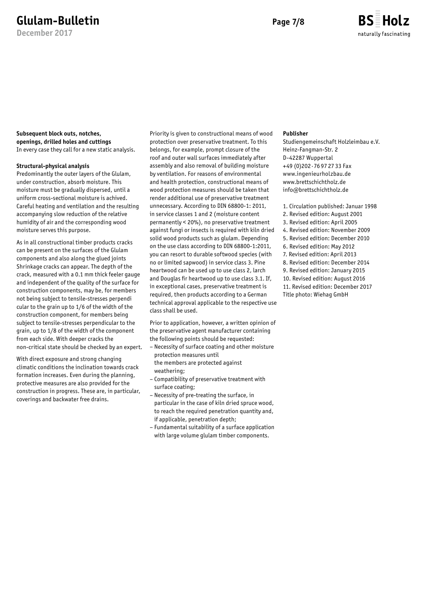**December 2017**

### **BS Holz** naturally fascinating

### **Subsequent block outs, notches, openings, drilled holes and cuttings**

In every case they call for a new static analysis.

### **Structural-physical analysis**

Predominantly the outer layers of the Glulam, under construction, absorb moisture. This moisture must be gradually dispersed, until a uniform cross-sectional moisture is achived. Careful heating and ventilation and the resulting accompanying slow reduction of the relative humidity of air and the corresponding wood moisture serves this purpose.

As in all constructional timber products cracks can be present on the surfaces of the Glulam components and also along the glued joints Shrinkage cracks can appear. The depth of the crack, measured with a 0.1 mm thick feeler gauge and independent of the quality of the surface for construction components, may be, for members not being subject to tensile-stresses perpendi cular to the grain up to 1/6 of the width of the construction component, for members being subject to tensile-stresses perpendicular to the grain, up to 1/8 of the width of the component from each side. With deeper cracks the non-critical state should be checked by an expert.

With direct exposure and strong changing climatic conditions the inclination towards crack formation increases. Even during the planning, protective measures are also provided for the construction in progress. These are, in particular, coverings and backwater free drains.

Priority is given to constructional means of wood protection over preservative treatment. To this belongs, for example, prompt closure of the roof and outer wall surfaces immediately after assembly and also removal of building moisture by ventilation. For reasons of environmental and health protection, constructional means of wood protection measures should be taken that render additional use of preservative treatment unnecessary. According to DIN 68800-1: 2011, in service classes 1 and 2 (moisture content permanently < 20%), no preservative treatment against fungi or insects is required with kiln dried solid wood products such as glulam. Depending on the use class according to DIN 68800-1:2011, you can resort to durable softwood species (with no or limited sapwood) in service class 3. Pine heartwood can be used up to use class 2, larch and Douglas fir heartwood up to use class 3.1. If, in exceptional cases, preservative treatment is required, then products according to a German technical approval applicable to the respective use class shall be used.

Prior to application, however, a written opinion of the preservative agent manufacturer containing the following points should be requested:

- Necessity of surface coating and other moisture protection measures until the members are protected against
- weathering; – Compatibility of preservative treatment with
- surface coating; – Necessity of pre-treating the surface, in
- particular in the case of kiln dried spruce wood, to reach the required penetration quantity and, if applicable, penetration depth;
- Fundamental suitability of a surface application with large volume glulam timber components.

### **Publisher**

Studiengemeinschaft Holzleimbau e.V. Heinz-Fangman-Str. 2 D-42287 Wuppertal +49 (0)202 · 76 97 27 33 Fax www.ingenieurholzbau.de www.brettschichtholz.de info@brettschichtholz.de

- 1. Circulation published: Januar 1998
- 2. Revised edition: August 2001
- 3. Revised edition: April 2005
- 4. Revised edition: November 2009
- 5. Revised edition: December 2010 6. Revised edition: May 2012
- 7. Revised edition: April 2013
- 8. Revised edition: December 2014
- 9. Revised edition: January 2015
- 10. Revised edition: August 2016
- 11. Revised edition: December 2017 Title photo: Wiehag GmbH